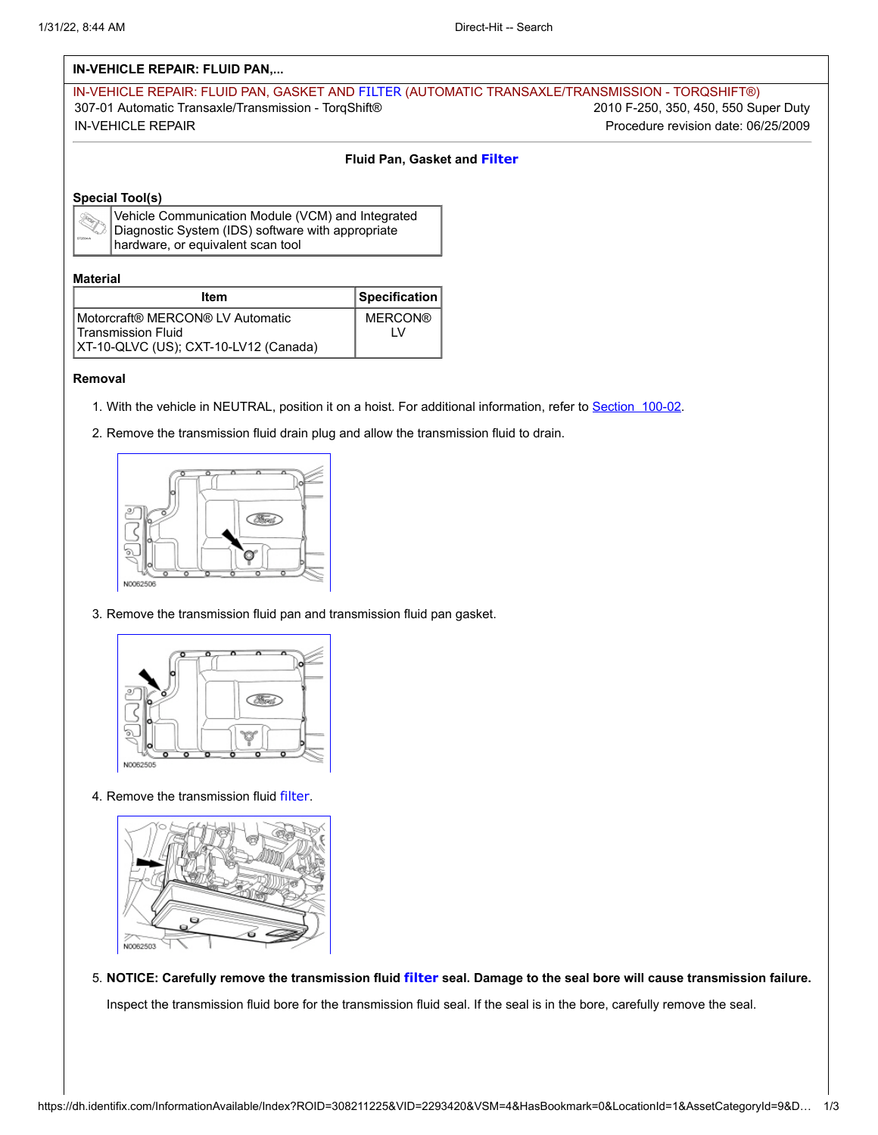# **IN-VEHICLE REPAIR: FLUID PAN,...**

| IN-VEHICLE REPAIR: FLUID PAN, GASKET AND FILTER (AUTOMATIC TRANSAXLE/TRANSMISSION - TORQSHIFT®) |                                      |  |
|-------------------------------------------------------------------------------------------------|--------------------------------------|--|
| 307-01 Automatic Transaxle/Transmission - TorqShift®                                            | 2010 F-250, 350, 450, 550 Super Duty |  |
| IN-VEHICLE REPAIR                                                                               | Procedure revision date: 06/25/2009  |  |

### **Fluid Pan, Gasket and Filter**

## **Special Tool(s)**

| Vehicle ( |
|-----------|
| Diagnost  |
| Ihardwar  |

| $\Diamond$  Vehicle Communication Module (VCM) and Integrated<br>$\Diamond$  Diagnostic System (IDS) software with appropriate |
|--------------------------------------------------------------------------------------------------------------------------------|
|                                                                                                                                |
| hardware, or equivalent scan tool                                                                                              |

#### **Material**

| Item                                  | Specification  |
|---------------------------------------|----------------|
| I Motorcraft® MERCON® LV Automatic    | <b>MERCON®</b> |
| <b>Transmission Fluid</b>             |                |
| XT-10-QLVC (US); CXT-10-LV12 (Canada) |                |

#### **Removal**

- 1. With the vehicle in NEUTRAL, position it on a hoist. For additional information, refer to Section 100-02.
- 2. Remove the transmission fluid drain plug and allow the transmission fluid to drain.



3. Remove the transmission fluid pan and transmission fluid pan gasket.



4. Remove the transmission fluid filter.



5. **NOTICE: Carefully remove the transmission fluid filter seal. Damage to the seal bore will cause transmission failure.**

Inspect the transmission fluid bore for the transmission fluid seal. If the seal is in the bore, carefully remove the seal.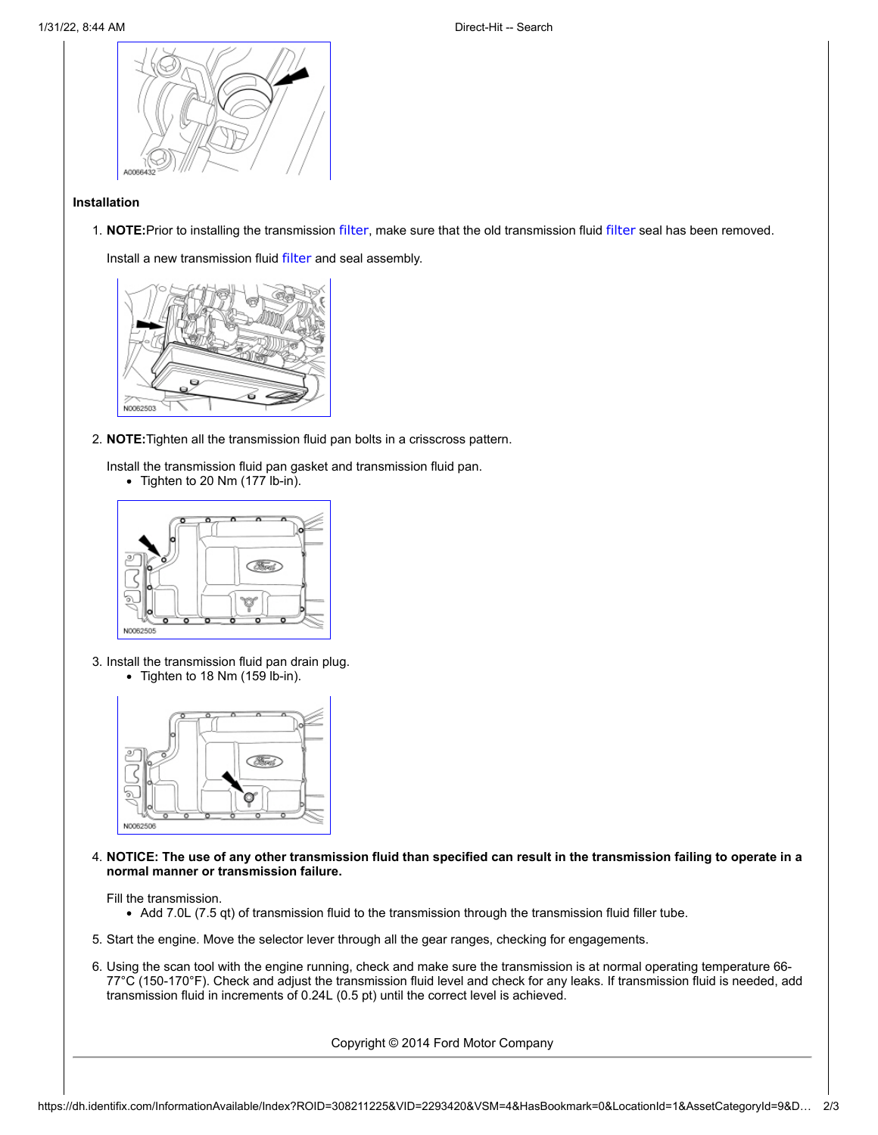

### **Installation**

1. **NOTE:**Prior to installing the transmission filter, make sure that the old transmission fluid filter seal has been removed.

Install a new transmission fluid filter and seal assembly.



- 2. **NOTE:**Tighten all the transmission fluid pan bolts in a crisscross pattern.
	- Install the transmission fluid pan gasket and transmission fluid pan.
		- Tighten to 20 Nm (177 lb-in).



3. Install the transmission fluid pan drain plug.  $\bullet$  Tighten to 18 Nm (159 lb-in).



4. **NOTICE: The use of any other transmission fluid than specified can result in the transmission failing to operate in a normal manner or transmission failure.**

Fill the transmission.

- Add 7.0L (7.5 qt) of transmission fluid to the transmission through the transmission fluid filler tube.
- 5. Start the engine. Move the selector lever through all the gear ranges, checking for engagements.
- 6. Using the scan tool with the engine running, check and make sure the transmission is at normal operating temperature 66- 77°C (150-170°F). Check and adjust the transmission fluid level and check for any leaks. If transmission fluid is needed, add transmission fluid in increments of 0.24L (0.5 pt) until the correct level is achieved.

Copyright © 2014 Ford Motor Company